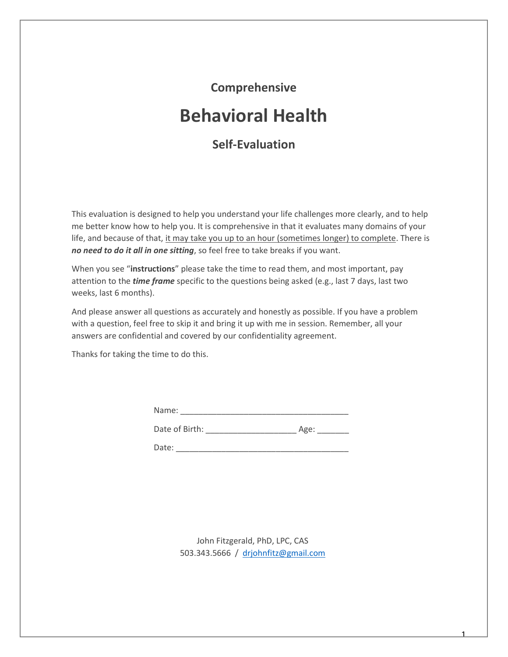## **Comprehensive**

# **Behavioral Health**

## **Self-Evaluation**

This evaluation is designed to help you understand your life challenges more clearly, and to help me better know how to help you. It is comprehensive in that it evaluates many domains of your life, and because of that, it may take you up to an hour (sometimes longer) to complete. There is *no need to do it all in one sitting*, so feel free to take breaks if you want.

When you see "**instructions**" please take the time to read them, and most important, pay attention to the *time frame* specific to the questions being asked (e.g., last 7 days, last two weeks, last 6 months).

And please answer all questions as accurately and honestly as possible. If you have a problem with a question, feel free to skip it and bring it up with me in session. Remember, all your answers are confidential and covered by our confidentiality agreement.

Thanks for taking the time to do this.

Date of Birth: \_\_\_\_\_\_\_\_\_\_\_\_\_\_\_\_\_\_\_\_ Age: \_\_\_\_\_\_\_

Date:

John Fitzgerald, PhD, LPC, CAS 503.343.5666 / [drjohnfitz@gmail.com](mailto:drjohnfitz@gmail.com)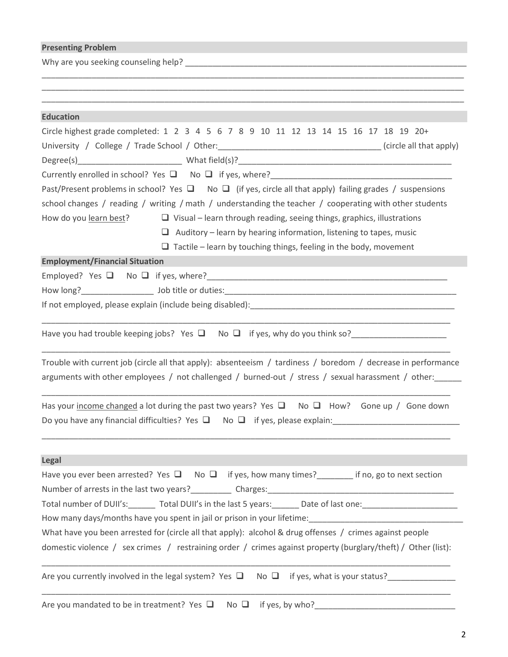### **Presenting Problem**

Why are you seeking counseling help? \_\_\_\_\_\_\_\_\_\_\_\_\_\_\_\_\_\_\_\_\_\_\_\_\_\_\_\_\_\_\_\_\_\_\_\_\_\_\_\_\_\_\_\_\_\_\_\_\_\_\_\_\_\_\_\_\_\_\_\_\_\_

| <b>Education</b>                                                                                                                                                                                                    |
|---------------------------------------------------------------------------------------------------------------------------------------------------------------------------------------------------------------------|
| Circle highest grade completed: 1 2 3 4 5 6 7 8 9 10 11 12 13 14 15 16 17 18 19 20+<br>University / College / Trade School / Other: ___________________________________(circle all that apply)                      |
|                                                                                                                                                                                                                     |
| Currently enrolled in school? Yes $\Box$ No $\Box$ if yes, where?<br>$\Box$<br>Past/Present problems in school? Yes $\Box$ No $\Box$ (if yes, circle all that apply) failing grades / suspensions                   |
| school changes / reading / writing / math / understanding the teacher / cooperating with other students                                                                                                             |
| How do you learn best?<br>$\Box$ Visual – learn through reading, seeing things, graphics, illustrations                                                                                                             |
|                                                                                                                                                                                                                     |
| $\Box$ Auditory – learn by hearing information, listening to tapes, music<br>$\Box$ Tactile – learn by touching things, feeling in the body, movement                                                               |
| <b>Employment/Financial Situation</b>                                                                                                                                                                               |
|                                                                                                                                                                                                                     |
|                                                                                                                                                                                                                     |
|                                                                                                                                                                                                                     |
|                                                                                                                                                                                                                     |
| Have you had trouble keeping jobs? Yes $\Box$ No $\Box$ if yes, why do you think so?                                                                                                                                |
| Trouble with current job (circle all that apply): absenteeism / tardiness / boredom / decrease in performance<br>arguments with other employees / not challenged / burned-out / stress / sexual harassment / other: |
| Has your income changed a lot during the past two years? Yes $\Box$ No $\Box$ How? Gone up / Gone down<br>Do you have any financial difficulties? Yes $\Box$ No $\Box$ if yes, please explain:                      |
| <b>Legal</b>                                                                                                                                                                                                        |
| Have you ever been arrested? Yes $\Box$ No $\Box$ if yes, how many times? _______ if no, go to next section                                                                                                         |
|                                                                                                                                                                                                                     |
|                                                                                                                                                                                                                     |
| How many days/months have you spent in jail or prison in your lifetime:                                                                                                                                             |
| What have you been arrested for (circle all that apply): alcohol & drug offenses / crimes against people                                                                                                            |
| domestic violence / sex crimes / restraining order / crimes against property (burglary/theft) / Other (list):                                                                                                       |
| Are you currently involved in the legal system? Yes $\square$ No $\square$ if yes, what is your status?                                                                                                             |
|                                                                                                                                                                                                                     |

\_\_\_\_\_\_\_\_\_\_\_\_\_\_\_\_\_\_\_\_\_\_\_\_\_\_\_\_\_\_\_\_\_\_\_\_\_\_\_\_\_\_\_\_\_\_\_\_\_\_\_\_\_\_\_\_\_\_\_\_\_\_\_\_\_\_\_\_\_\_\_\_\_\_\_\_\_\_\_\_\_\_\_\_\_\_\_\_\_\_\_\_\_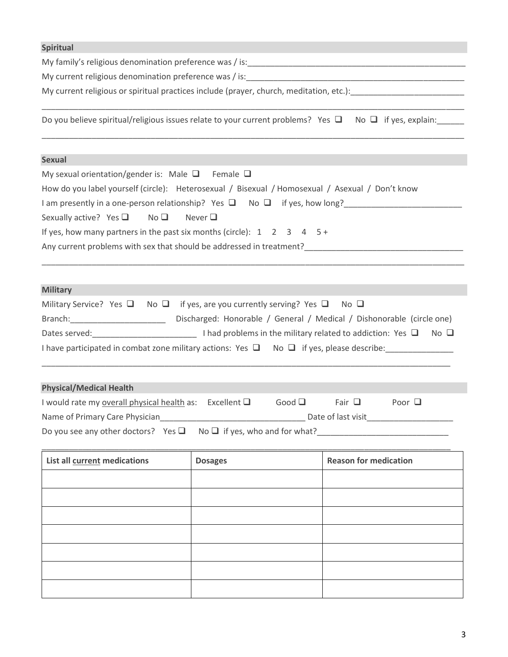| <b>Spiritual</b>                                                                                                                                       |                |                                     |  |  |  |  |  |  |  |  |  |
|--------------------------------------------------------------------------------------------------------------------------------------------------------|----------------|-------------------------------------|--|--|--|--|--|--|--|--|--|
|                                                                                                                                                        |                |                                     |  |  |  |  |  |  |  |  |  |
|                                                                                                                                                        |                |                                     |  |  |  |  |  |  |  |  |  |
|                                                                                                                                                        |                |                                     |  |  |  |  |  |  |  |  |  |
| Do you believe spiritual/religious issues relate to your current problems? Yes $\Box$ No $\Box$ if yes, explain:                                       |                |                                     |  |  |  |  |  |  |  |  |  |
| <b>Sexual</b>                                                                                                                                          |                |                                     |  |  |  |  |  |  |  |  |  |
| My sexual orientation/gender is: Male $\Box$ Female $\Box$                                                                                             |                |                                     |  |  |  |  |  |  |  |  |  |
| How do you label yourself (circle): Heterosexual / Bisexual / Homosexual / Asexual / Don't know                                                        |                |                                     |  |  |  |  |  |  |  |  |  |
| I am presently in a one-person relationship? Yes □ No □ if yes, how long?<br>I am presently in a one-person relationship? Yes □ No □ if yes, how long? |                |                                     |  |  |  |  |  |  |  |  |  |
| Sexually active? Yes $\Box$<br>$No \Box$ Never $\Box$                                                                                                  |                |                                     |  |  |  |  |  |  |  |  |  |
| If yes, how many partners in the past six months (circle): $1 \quad 2 \quad 3 \quad 4 \quad 5 +$                                                       |                |                                     |  |  |  |  |  |  |  |  |  |
|                                                                                                                                                        |                |                                     |  |  |  |  |  |  |  |  |  |
|                                                                                                                                                        |                |                                     |  |  |  |  |  |  |  |  |  |
|                                                                                                                                                        |                |                                     |  |  |  |  |  |  |  |  |  |
| <b>Military</b>                                                                                                                                        |                |                                     |  |  |  |  |  |  |  |  |  |
| Military Service? Yes $\Box$ No $\Box$ if yes, are you currently serving? Yes $\Box$ No $\Box$                                                         |                |                                     |  |  |  |  |  |  |  |  |  |
|                                                                                                                                                        |                |                                     |  |  |  |  |  |  |  |  |  |
|                                                                                                                                                        |                |                                     |  |  |  |  |  |  |  |  |  |
| I have participated in combat zone military actions: Yes $\Box$ No $\Box$ if yes, please describe:                                                     |                |                                     |  |  |  |  |  |  |  |  |  |
|                                                                                                                                                        |                |                                     |  |  |  |  |  |  |  |  |  |
|                                                                                                                                                        |                |                                     |  |  |  |  |  |  |  |  |  |
| <b>Physical/Medical Health</b>                                                                                                                         |                |                                     |  |  |  |  |  |  |  |  |  |
| I would rate my overall physical health as: Excellent Q                                                                                                | Good $\Box$    | Fair $\Box$<br>Poor $\Box$          |  |  |  |  |  |  |  |  |  |
| Name of Primary Care Physician                                                                                                                         |                |                                     |  |  |  |  |  |  |  |  |  |
| Do you see any other doctors? Yes $\square$                                                                                                            |                | No $\Box$ if yes, who and for what? |  |  |  |  |  |  |  |  |  |
| <b>List all current medications</b>                                                                                                                    | <b>Dosages</b> | <b>Reason for medication</b>        |  |  |  |  |  |  |  |  |  |
|                                                                                                                                                        |                |                                     |  |  |  |  |  |  |  |  |  |
|                                                                                                                                                        |                |                                     |  |  |  |  |  |  |  |  |  |
|                                                                                                                                                        |                |                                     |  |  |  |  |  |  |  |  |  |
|                                                                                                                                                        |                |                                     |  |  |  |  |  |  |  |  |  |
|                                                                                                                                                        |                |                                     |  |  |  |  |  |  |  |  |  |
|                                                                                                                                                        |                |                                     |  |  |  |  |  |  |  |  |  |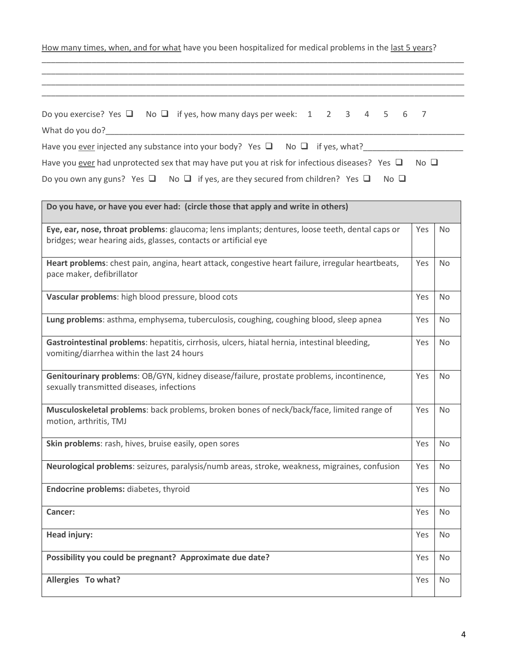| How many times, when, and for what have you been hospitalized for medical problems in the last 5 years?                                                            |             |           |  |  |  |  |  |
|--------------------------------------------------------------------------------------------------------------------------------------------------------------------|-------------|-----------|--|--|--|--|--|
|                                                                                                                                                                    |             |           |  |  |  |  |  |
| Do you exercise? Yes $\Box$ No $\Box$ if yes, how many days per week: 1 2 3<br>$\overline{4}$<br>5<br>6<br>What do you do?_____________                            | 7           |           |  |  |  |  |  |
| Have you <u>ever</u> injected any substance into your body? Yes $\Box$ No $\Box$ if yes, what?                                                                     |             |           |  |  |  |  |  |
| Have you ever had unprotected sex that may have put you at risk for infectious diseases? Yes $\Box$                                                                | $No$ $\Box$ |           |  |  |  |  |  |
| Do you own any guns? Yes $\Box$ No $\Box$ if yes, are they secured from children? Yes $\Box$<br>$No$ $\square$                                                     |             |           |  |  |  |  |  |
| Do you have, or have you ever had: (circle those that apply and write in others)                                                                                   |             |           |  |  |  |  |  |
| Eye, ear, nose, throat problems: glaucoma; lens implants; dentures, loose teeth, dental caps or<br>bridges; wear hearing aids, glasses, contacts or artificial eye | Yes         | No        |  |  |  |  |  |
| Heart problems: chest pain, angina, heart attack, congestive heart failure, irregular heartbeats,<br>pace maker, defibrillator                                     | Yes         | No        |  |  |  |  |  |
| Vascular problems: high blood pressure, blood cots                                                                                                                 | Yes         | No        |  |  |  |  |  |
| Lung problems: asthma, emphysema, tuberculosis, coughing, coughing blood, sleep apnea                                                                              |             |           |  |  |  |  |  |
| Gastrointestinal problems: hepatitis, cirrhosis, ulcers, hiatal hernia, intestinal bleeding,<br>vomiting/diarrhea within the last 24 hours                         |             |           |  |  |  |  |  |
| Genitourinary problems: OB/GYN, kidney disease/failure, prostate problems, incontinence,<br>sexually transmitted diseases, infections                              | Yes         | <b>No</b> |  |  |  |  |  |
| Musculoskeletal problems: back problems, broken bones of neck/back/face, limited range of<br>motion, arthritis, TMJ                                                | Yes         | No        |  |  |  |  |  |
| Skin problems: rash, hives, bruise easily, open sores                                                                                                              |             |           |  |  |  |  |  |
| Neurological problems: seizures, paralysis/numb areas, stroke, weakness, migraines, confusion                                                                      |             |           |  |  |  |  |  |
| Endocrine problems: diabetes, thyroid                                                                                                                              |             |           |  |  |  |  |  |
| <b>Cancer:</b>                                                                                                                                                     | Yes         | No        |  |  |  |  |  |
| <b>Head injury:</b>                                                                                                                                                | Yes         | <b>No</b> |  |  |  |  |  |
| Possibility you could be pregnant? Approximate due date?                                                                                                           | Yes         | No        |  |  |  |  |  |
| Allergies To what?                                                                                                                                                 | Yes         | No        |  |  |  |  |  |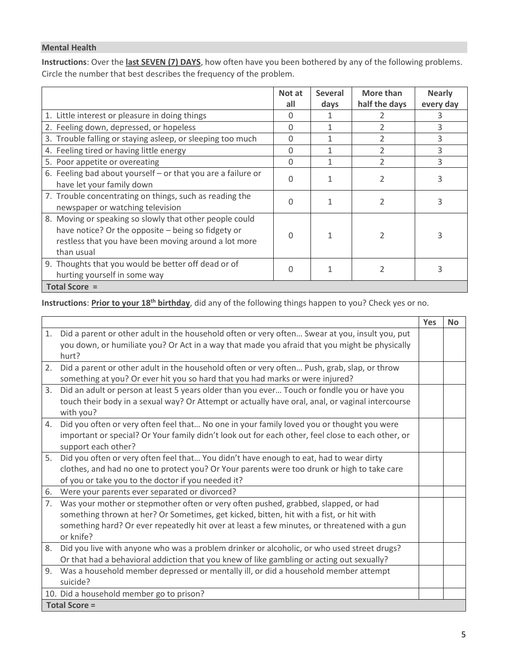#### **Mental Health**

**Instructions**: Over the **last SEVEN (7) DAYS**, how often have you been bothered by any of the following problems. Circle the number that best describes the frequency of the problem.

|                                                                                                                                                                                     | Not at<br>all | <b>Several</b><br>days | More than<br>half the days | <b>Nearly</b><br>every day |
|-------------------------------------------------------------------------------------------------------------------------------------------------------------------------------------|---------------|------------------------|----------------------------|----------------------------|
| 1. Little interest or pleasure in doing things                                                                                                                                      | 0             |                        |                            |                            |
| 2. Feeling down, depressed, or hopeless                                                                                                                                             | 0             | 1                      |                            | 3                          |
| 3. Trouble falling or staying asleep, or sleeping too much                                                                                                                          | $\Omega$      | $\mathbf{1}$           | $\mathfrak{D}$             | 3                          |
| 4. Feeling tired or having little energy                                                                                                                                            | 0             | 1                      | $\mathcal{P}$              | 3                          |
| 5. Poor appetite or overeating                                                                                                                                                      | $\Omega$      |                        | $\mathfrak{D}$             | 3                          |
| 6. Feeling bad about yourself - or that you are a failure or<br>have let your family down                                                                                           | $\Omega$      |                        | 2                          |                            |
| 7. Trouble concentrating on things, such as reading the<br>newspaper or watching television                                                                                         | $\Omega$      | 1                      | $\mathfrak{p}$             |                            |
| 8. Moving or speaking so slowly that other people could<br>have notice? Or the opposite - being so fidgety or<br>restless that you have been moving around a lot more<br>than usual | U             | 1                      |                            |                            |
| 9. Thoughts that you would be better off dead or of<br>hurting yourself in some way                                                                                                 | O             |                        |                            |                            |
| <b>Total Score =</b>                                                                                                                                                                |               |                        |                            |                            |

## **Instructions**: **Prior to your 18th birthday**, did any of the following things happen to you? Check yes or no.

|                |                                                                                                   | Yes | <b>No</b> |
|----------------|---------------------------------------------------------------------------------------------------|-----|-----------|
| 1.             | Did a parent or other adult in the household often or very often Swear at you, insult you, put    |     |           |
|                | you down, or humiliate you? Or Act in a way that made you afraid that you might be physically     |     |           |
|                | hurt?                                                                                             |     |           |
| 2.             | Did a parent or other adult in the household often or very often Push, grab, slap, or throw       |     |           |
|                | something at you? Or ever hit you so hard that you had marks or were injured?                     |     |           |
| 3.             | Did an adult or person at least 5 years older than you ever Touch or fondle you or have you       |     |           |
|                | touch their body in a sexual way? Or Attempt or actually have oral, anal, or vaginal intercourse  |     |           |
|                | with you?                                                                                         |     |           |
| 4.             | Did you often or very often feel that No one in your family loved you or thought you were         |     |           |
|                | important or special? Or Your family didn't look out for each other, feel close to each other, or |     |           |
|                | support each other?                                                                               |     |           |
| 5.             | Did you often or very often feel that You didn't have enough to eat, had to wear dirty            |     |           |
|                | clothes, and had no one to protect you? Or Your parents were too drunk or high to take care       |     |           |
|                | of you or take you to the doctor if you needed it?                                                |     |           |
| 6.             | Were your parents ever separated or divorced?                                                     |     |           |
| 7 <sub>1</sub> | Was your mother or stepmother often or very often pushed, grabbed, slapped, or had                |     |           |
|                | something thrown at her? Or Sometimes, get kicked, bitten, hit with a fist, or hit with           |     |           |
|                | something hard? Or ever repeatedly hit over at least a few minutes, or threatened with a gun      |     |           |
|                | or knife?                                                                                         |     |           |
| 8.             | Did you live with anyone who was a problem drinker or alcoholic, or who used street drugs?        |     |           |
|                | Or that had a behavioral addiction that you knew of like gambling or acting out sexually?         |     |           |
| 9.             | Was a household member depressed or mentally ill, or did a household member attempt               |     |           |
|                | suicide?                                                                                          |     |           |
|                | 10. Did a household member go to prison?                                                          |     |           |
|                | <b>Total Score =</b>                                                                              |     |           |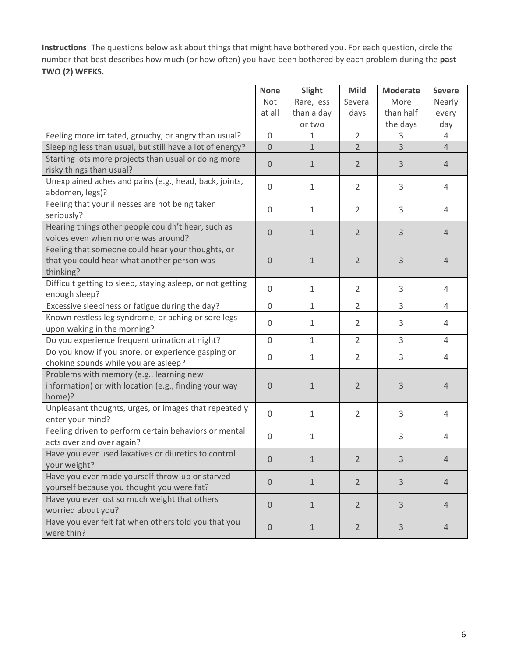**Instructions**: The questions below ask about things that might have bothered you. For each question, circle the number that best describes how much (or how often) you have been bothered by each problem during the **past TWO (2) WEEKS.** 

|                                                            | <b>None</b>    | Slight       | <b>Mild</b>    | <b>Moderate</b> | <b>Severe</b>  |
|------------------------------------------------------------|----------------|--------------|----------------|-----------------|----------------|
|                                                            | Not            | Rare, less   | Several        | More            | Nearly         |
|                                                            | at all         | than a day   | days           | than half       | every          |
|                                                            |                | or two       |                | the days        | day            |
| Feeling more irritated, grouchy, or angry than usual?      | 0              | 1            | 2              | 3               | 4              |
| Sleeping less than usual, but still have a lot of energy?  | $\overline{0}$ | $\mathbf{1}$ | $\overline{2}$ | $\overline{3}$  | $\overline{4}$ |
| Starting lots more projects than usual or doing more       |                |              |                | 3               |                |
| risky things than usual?                                   | $\theta$       | $\mathbf{1}$ | $\overline{2}$ |                 | 4              |
| Unexplained aches and pains (e.g., head, back, joints,     | $\mathbf 0$    | $\mathbf{1}$ | $\overline{2}$ | 3               | 4              |
| abdomen, legs)?                                            |                |              |                |                 |                |
| Feeling that your illnesses are not being taken            | $\Omega$       | $\mathbf{1}$ | $\overline{2}$ | 3               | 4              |
| seriously?                                                 |                |              |                |                 |                |
| Hearing things other people couldn't hear, such as         | $\overline{0}$ | $\mathbf{1}$ | $\overline{2}$ | 3               | $\overline{4}$ |
| voices even when no one was around?                        |                |              |                |                 |                |
| Feeling that someone could hear your thoughts, or          |                |              |                |                 |                |
| that you could hear what another person was                | $\mathbf{0}$   | $\mathbf{1}$ | $\overline{2}$ | 3               | $\overline{4}$ |
| thinking?                                                  |                |              |                |                 |                |
| Difficult getting to sleep, staying asleep, or not getting | 0              | 1            | $\overline{2}$ | 3               | 4              |
| enough sleep?                                              |                |              |                |                 |                |
| Excessive sleepiness or fatigue during the day?            | $\mathbf 0$    | 1            | $\overline{2}$ | 3               | $\overline{4}$ |
| Known restless leg syndrome, or aching or sore legs        | $\mathbf 0$    | $\mathbf{1}$ | $\overline{2}$ | 3               | 4              |
| upon waking in the morning?                                |                |              |                |                 |                |
| Do you experience frequent urination at night?             | $\mathbf 0$    | $\mathbf{1}$ | $\overline{2}$ | 3               | $\overline{4}$ |
| Do you know if you snore, or experience gasping or         | 0              | $\mathbf{1}$ | $\overline{2}$ | 3               | 4              |
| choking sounds while you are asleep?                       |                |              |                |                 |                |
| Problems with memory (e.g., learning new                   |                |              |                |                 |                |
| information) or with location (e.g., finding your way      | 0              | $\mathbf{1}$ | $\overline{2}$ | 3               | $\overline{4}$ |
| home)?                                                     |                |              |                |                 |                |
| Unpleasant thoughts, urges, or images that repeatedly      | $\mathbf 0$    | $\mathbf{1}$ | $\overline{2}$ | 3               | 4              |
| enter your mind?                                           |                |              |                |                 |                |
| Feeling driven to perform certain behaviors or mental      | $\Omega$       | 1            |                | 3               | 4              |
| acts over and over again?                                  |                |              |                |                 |                |
| Have you ever used laxatives or diuretics to control       | 0              | 1            | 2              | 3               | 4              |
| your weight?                                               |                |              |                |                 |                |
| Have you ever made yourself throw-up or starved            | $\overline{0}$ | $\mathbf{1}$ | $\overline{2}$ | 3               | $\overline{4}$ |
| yourself because you thought you were fat?                 |                |              |                |                 |                |
| Have you ever lost so much weight that others              | $\overline{0}$ | $\mathbf{1}$ | $\overline{2}$ | 3               | 4              |
| worried about you?                                         |                |              |                |                 |                |
| Have you ever felt fat when others told you that you       | $\overline{0}$ | $\mathbf{1}$ | $\overline{2}$ | $\overline{3}$  | 4              |
| were thin?                                                 |                |              |                |                 |                |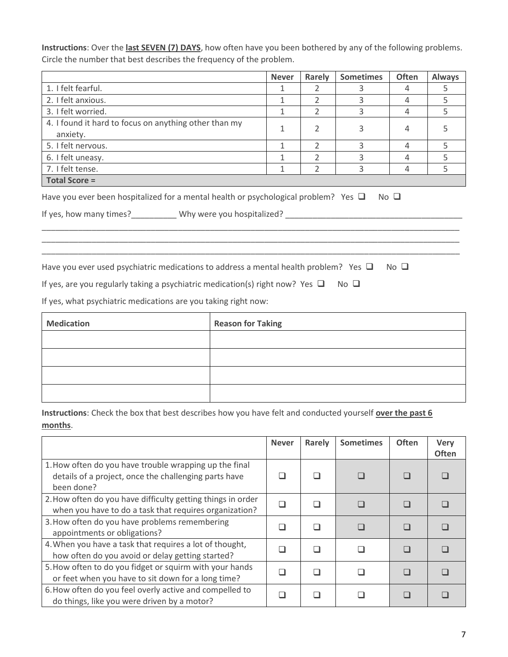**Instructions**: Over the **last SEVEN (7) DAYS**, how often have you been bothered by any of the following problems. Circle the number that best describes the frequency of the problem.

|                                                                                           | <b>Never</b>             | Rarely         | <b>Sometimes</b> | <b>Often</b>   | <b>Always</b> |  |  |  |
|-------------------------------------------------------------------------------------------|--------------------------|----------------|------------------|----------------|---------------|--|--|--|
| 1. I felt fearful.                                                                        | 1                        | $\mathcal{P}$  | 3                | 4              | 5             |  |  |  |
| 2. I felt anxious.                                                                        | 1                        | $\mathcal{P}$  | 3                | 4              | 5             |  |  |  |
| 3. I felt worried.                                                                        | $\mathbf{1}$             | $\overline{2}$ | 3                | 4              | 5             |  |  |  |
| 4. I found it hard to focus on anything other than my<br>anxiety.                         | 1                        | 2              | 3                | 4              | 5             |  |  |  |
| 5. I felt nervous.                                                                        | 1                        | $\mathcal{P}$  | 3                | 4              | 5             |  |  |  |
| 6. I felt uneasy.                                                                         | 1                        | $\mathfrak{D}$ | 3                | 4              | 5             |  |  |  |
| 7. I felt tense.                                                                          | 1                        | $\mathcal{P}$  | 3                | 4              | 5             |  |  |  |
| <b>Total Score =</b>                                                                      |                          |                |                  |                |               |  |  |  |
|                                                                                           |                          |                |                  |                |               |  |  |  |
| Have you ever used psychiatric medications to address a mental health problem? Yes $\Box$ |                          |                |                  | $No$ $\square$ |               |  |  |  |
| If yes, are you regularly taking a psychiatric medication(s) right now? Yes $\Box$        |                          |                | $No$ $\Box$      |                |               |  |  |  |
| If yes, what psychiatric medications are you taking right now:                            |                          |                |                  |                |               |  |  |  |
| <b>Medication</b>                                                                         | <b>Reason for Taking</b> |                |                  |                |               |  |  |  |
|                                                                                           |                          |                |                  |                |               |  |  |  |

| Instructions: Check the box that best describes how you have felt and conducted yourself over the past 6 |
|----------------------------------------------------------------------------------------------------------|
| months.                                                                                                  |

|                                                                                                                               | <b>Never</b> | Rarely                   | <b>Sometimes</b> | <b>Often</b> | <b>Very</b><br><b>Often</b> |
|-------------------------------------------------------------------------------------------------------------------------------|--------------|--------------------------|------------------|--------------|-----------------------------|
| 1. How often do you have trouble wrapping up the final<br>details of a project, once the challenging parts have<br>been done? |              |                          |                  |              |                             |
| 2. How often do you have difficulty getting things in order<br>when you have to do a task that requires organization?         |              | ш                        |                  |              |                             |
| 3. How often do you have problems remembering<br>appointments or obligations?                                                 |              | $\overline{\phantom{a}}$ |                  |              |                             |
| 4. When you have a task that requires a lot of thought,<br>how often do you avoid or delay getting started?                   |              |                          |                  |              |                             |
| 5. How often to do you fidget or squirm with your hands<br>or feet when you have to sit down for a long time?                 |              |                          |                  |              |                             |
| 6. How often do you feel overly active and compelled to<br>do things, like you were driven by a motor?                        |              |                          |                  |              |                             |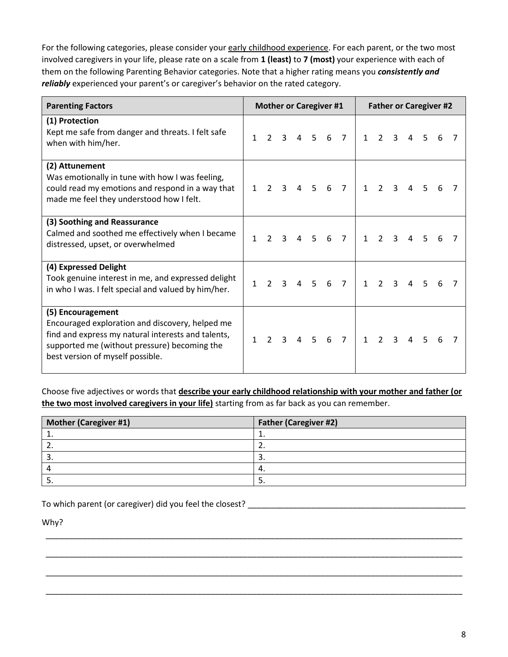For the following categories, please consider your early childhood experience. For each parent, or the two most involved caregivers in your life, please rate on a scale from **1 (least)** to **7 (most)** your experience with each of them on the following Parenting Behavior categories. Note that a higher rating means you *consistently and reliably* experienced your parent's or caregiver's behavior on the rated category.

| <b>Parenting Factors</b>                                                                                                                                                                                       |   | <b>Mother or Caregiver #1</b> |              |   |                |   |                |              |                |              | <b>Father or Caregiver #2</b> |                |   |  |
|----------------------------------------------------------------------------------------------------------------------------------------------------------------------------------------------------------------|---|-------------------------------|--------------|---|----------------|---|----------------|--------------|----------------|--------------|-------------------------------|----------------|---|--|
| (1) Protection<br>Kept me safe from danger and threats. I felt safe<br>when with him/her.                                                                                                                      | 1 | $\mathcal{P}$                 | 3            | 4 | 5 <sup>5</sup> | 6 | $\overline{7}$ | $\mathbf{1}$ | $\overline{2}$ | 3            | 4                             | 5              | 6 |  |
| (2) Attunement<br>Was emotionally in tune with how I was feeling,<br>could read my emotions and respond in a way that<br>made me feel they understood how I felt.                                              | 1 | $\mathcal{P}$                 | 3            | 4 | 5              | 6 | $\overline{7}$ | $\mathbf{1}$ | $\overline{2}$ | 3            |                               | 5              |   |  |
| (3) Soothing and Reassurance<br>Calmed and soothed me effectively when I became<br>distressed, upset, or overwhelmed                                                                                           | 1 | $\mathcal{P}$                 | 3            | 4 | .5.            | 6 | $\overline{7}$ | $\mathbf{1}$ | $\overline{2}$ | 3            | 4                             | 5              |   |  |
| (4) Expressed Delight<br>Took genuine interest in me, and expressed delight<br>in who I was. I felt special and valued by him/her.                                                                             | 1 | $\mathcal{P}$                 | 3            | 4 | $5^{\circ}$    | 6 | $\overline{7}$ | $\mathbf{1}$ | $\mathcal{P}$  | $\mathbf{3}$ | 4                             | 5              | 6 |  |
| (5) Encouragement<br>Encouraged exploration and discovery, helped me<br>find and express my natural interests and talents,<br>supported me (without pressure) becoming the<br>best version of myself possible. | 1 | $\mathcal{L}$                 | $\mathbf{3}$ |   | 4 <sub>5</sub> | 6 | $\overline{7}$ | $\mathbf{1}$ | $\overline{2}$ | $\mathbf{R}$ | 4                             | $\overline{5}$ |   |  |

Choose five adjectives or words that **describe your early childhood relationship with your mother and father (or the two most involved caregivers in your life)** starting from as far back as you can remember.

| Mother (Caregiver #1) | <b>Father (Caregiver #2)</b> |
|-----------------------|------------------------------|
| ∸.                    |                              |
|                       | <u>.</u>                     |
| <u>.</u>              | ت                            |
|                       | 4                            |
| <u>.</u>              | ັ                            |

\_\_\_\_\_\_\_\_\_\_\_\_\_\_\_\_\_\_\_\_\_\_\_\_\_\_\_\_\_\_\_\_\_\_\_\_\_\_\_\_\_\_\_\_\_\_\_\_\_\_\_\_\_\_\_\_\_\_\_\_\_\_\_\_\_\_\_\_\_\_\_\_\_\_\_\_\_\_\_\_\_\_\_\_\_\_\_\_\_\_\_

\_\_\_\_\_\_\_\_\_\_\_\_\_\_\_\_\_\_\_\_\_\_\_\_\_\_\_\_\_\_\_\_\_\_\_\_\_\_\_\_\_\_\_\_\_\_\_\_\_\_\_\_\_\_\_\_\_\_\_\_\_\_\_\_\_\_\_\_\_\_\_\_\_\_\_\_\_\_\_\_\_\_\_\_\_\_\_\_\_\_\_

\_\_\_\_\_\_\_\_\_\_\_\_\_\_\_\_\_\_\_\_\_\_\_\_\_\_\_\_\_\_\_\_\_\_\_\_\_\_\_\_\_\_\_\_\_\_\_\_\_\_\_\_\_\_\_\_\_\_\_\_\_\_\_\_\_\_\_\_\_\_\_\_\_\_\_\_\_\_\_\_\_\_\_\_\_\_\_\_\_\_\_

\_\_\_\_\_\_\_\_\_\_\_\_\_\_\_\_\_\_\_\_\_\_\_\_\_\_\_\_\_\_\_\_\_\_\_\_\_\_\_\_\_\_\_\_\_\_\_\_\_\_\_\_\_\_\_\_\_\_\_\_\_\_\_\_\_\_\_\_\_\_\_\_\_\_\_\_\_\_\_\_\_\_\_\_\_\_\_\_\_\_\_

To which parent (or caregiver) did you feel the closest? \_\_\_\_\_\_\_\_\_\_\_\_\_\_\_\_\_\_\_\_\_\_\_\_\_\_\_\_\_\_\_\_\_\_\_\_\_\_\_\_\_\_\_\_\_\_\_\_

Why?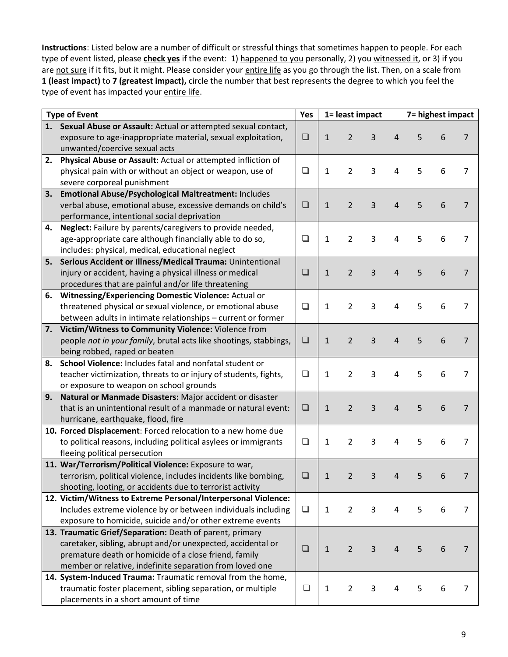**Instructions**: Listed below are a number of difficult or stressful things that sometimes happen to people. For each type of event listed, please **check yes** if the event: 1) happened to you personally, 2) you witnessed it, or 3) if you are not sure if it fits, but it might. Please consider your entire life as you go through the list. Then, on a scale from **1 (least impact)** to **7 (greatest impact),** circle the number that best represents the degree to which you feel the type of event has impacted your entire life.

| <b>Type of Event</b> |                                                                   |        | Yes<br>1= least impact |                |   | 7= highest impact |   |                 |                |
|----------------------|-------------------------------------------------------------------|--------|------------------------|----------------|---|-------------------|---|-----------------|----------------|
|                      | 1. Sexual Abuse or Assault: Actual or attempted sexual contact,   |        |                        |                |   |                   |   |                 |                |
|                      | exposure to age-inappropriate material, sexual exploitation,      | ❏      | $\mathbf{1}$           | $\overline{2}$ | 3 | 4                 | 5 | 6               | 7              |
|                      | unwanted/coercive sexual acts                                     |        |                        |                |   |                   |   |                 |                |
| 2.                   | Physical Abuse or Assault: Actual or attempted infliction of      |        |                        |                |   |                   |   |                 |                |
|                      | physical pain with or without an object or weapon, use of         | $\Box$ | 1                      | 2              | 3 | 4                 | 5 | 6               | $\overline{7}$ |
|                      | severe corporeal punishment                                       |        |                        |                |   |                   |   |                 |                |
| 3.                   | Emotional Abuse/Psychological Maltreatment: Includes              |        |                        |                |   |                   |   |                 |                |
|                      | verbal abuse, emotional abuse, excessive demands on child's       | $\Box$ | $\mathbf{1}$           | $\overline{2}$ | 3 | 4                 | 5 | 6               | 7              |
|                      | performance, intentional social deprivation                       |        |                        |                |   |                   |   |                 |                |
| 4.                   | Neglect: Failure by parents/caregivers to provide needed,         |        |                        |                |   |                   |   |                 |                |
|                      | age-appropriate care although financially able to do so,          | ❏      | 1                      | $\overline{2}$ | 3 | 4                 | 5 | 6               | 7              |
|                      | includes: physical, medical, educational neglect                  |        |                        |                |   |                   |   |                 |                |
| 5.                   | Serious Accident or Illness/Medical Trauma: Unintentional         |        |                        |                |   |                   |   |                 |                |
|                      | injury or accident, having a physical illness or medical          | $\Box$ | $\mathbf{1}$           | $\overline{2}$ | 3 | 4                 | 5 | 6               | 7              |
|                      | procedures that are painful and/or life threatening               |        |                        |                |   |                   |   |                 |                |
| 6.                   | <b>Witnessing/Experiencing Domestic Violence: Actual or</b>       |        |                        |                |   |                   |   |                 |                |
|                      | threatened physical or sexual violence, or emotional abuse        | ❏      | 1                      | 2              | 3 | 4                 | 5 | 6               | 7              |
|                      | between adults in intimate relationships - current or former      |        |                        |                |   |                   |   |                 |                |
|                      | 7. Victim/Witness to Community Violence: Violence from            |        |                        |                |   |                   |   |                 |                |
|                      | people not in your family, brutal acts like shootings, stabbings, | $\Box$ | $\mathbf{1}$           | 2              | 3 | 4                 | 5 | 6               | $\overline{7}$ |
|                      | being robbed, raped or beaten                                     |        |                        |                |   |                   |   |                 |                |
| 8.                   | School Violence: Includes fatal and nonfatal student or           |        |                        |                |   |                   |   |                 |                |
|                      | teacher victimization, threats to or injury of students, fights,  | ❏      | 1                      | 2              | 3 | 4                 | 5 | 6               | 7              |
|                      | or exposure to weapon on school grounds                           |        |                        |                |   |                   |   |                 |                |
| 9.                   | Natural or Manmade Disasters: Major accident or disaster          |        |                        |                |   |                   |   |                 |                |
|                      | that is an unintentional result of a manmade or natural event:    | $\Box$ | $\mathbf{1}$           | 2              | 3 | 4                 | 5 | 6               | $\overline{7}$ |
|                      | hurricane, earthquake, flood, fire                                |        |                        |                |   |                   |   |                 |                |
|                      | 10. Forced Displacement: Forced relocation to a new home due      |        |                        |                |   |                   |   |                 |                |
|                      | to political reasons, including political asylees or immigrants   | ❏      | 1                      | 2              | 3 | 4                 | 5 | 6               | 7              |
|                      | fleeing political persecution                                     |        |                        |                |   |                   |   |                 |                |
|                      | 11. War/Terrorism/Political Violence: Exposure to war,            |        |                        |                |   |                   |   |                 |                |
|                      | terrorism, political violence, includes incidents like bombing,   | ❏      | 1                      | $\overline{2}$ | 3 | 4                 | 5 | 6               | 7              |
|                      | shooting, looting, or accidents due to terrorist activity         |        |                        |                |   |                   |   |                 |                |
|                      | 12. Victim/Witness to Extreme Personal/Interpersonal Violence:    |        |                        |                |   |                   |   |                 |                |
|                      | Includes extreme violence by or between individuals including     | $\Box$ | 1                      | $\overline{2}$ | 3 | 4                 | 5 | 6               | 7              |
|                      | exposure to homicide, suicide and/or other extreme events         |        |                        |                |   |                   |   |                 |                |
|                      | 13. Traumatic Grief/Separation: Death of parent, primary          |        |                        |                |   |                   |   |                 |                |
|                      | caretaker, sibling, abrupt and/or unexpected, accidental or       | ❏      | $\mathbf{1}$           | $\overline{2}$ | 3 | $\overline{4}$    | 5 | $6\phantom{1}6$ | $\overline{7}$ |
|                      | premature death or homicide of a close friend, family             |        |                        |                |   |                   |   |                 |                |
|                      | member or relative, indefinite separation from loved one          |        |                        |                |   |                   |   |                 |                |
|                      | 14. System-Induced Trauma: Traumatic removal from the home,       |        |                        |                |   |                   |   |                 |                |
|                      | traumatic foster placement, sibling separation, or multiple       | $\Box$ | 1                      | $\overline{2}$ | 3 | 4                 | 5 | 6               | 7              |
|                      | placements in a short amount of time                              |        |                        |                |   |                   |   |                 |                |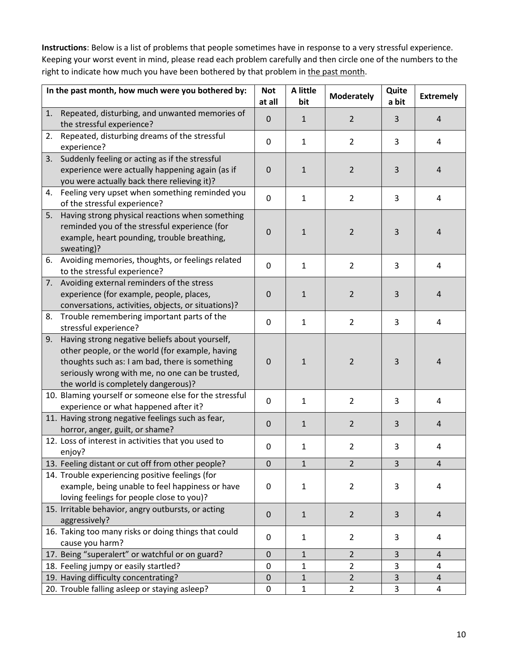**Instructions**: Below is a list of problems that people sometimes have in response to a very stressful experience. Keeping your worst event in mind, please read each problem carefully and then circle one of the numbers to the right to indicate how much you have been bothered by that problem in the past month.

|    | In the past month, how much were you bothered by:                                                                                                                                                                                             | <b>Not</b><br>at all | A little<br>bit | <b>Moderately</b> | Quite<br>a bit | <b>Extremely</b> |
|----|-----------------------------------------------------------------------------------------------------------------------------------------------------------------------------------------------------------------------------------------------|----------------------|-----------------|-------------------|----------------|------------------|
| 1. | Repeated, disturbing, and unwanted memories of<br>the stressful experience?                                                                                                                                                                   | $\mathbf 0$          | $\mathbf{1}$    | $\overline{2}$    | 3              | 4                |
| 2. | Repeated, disturbing dreams of the stressful<br>experience?                                                                                                                                                                                   | $\mathbf 0$          | $\mathbf{1}$    | $\overline{2}$    | 3              | 4                |
| 3. | Suddenly feeling or acting as if the stressful<br>experience were actually happening again (as if<br>you were actually back there relieving it)?                                                                                              | $\mathbf 0$          | $\mathbf{1}$    | $\overline{2}$    | 3              | 4                |
| 4. | Feeling very upset when something reminded you<br>of the stressful experience?                                                                                                                                                                | $\mathbf{0}$         | $\mathbf{1}$    | $\overline{2}$    | 3              | 4                |
| 5. | Having strong physical reactions when something<br>reminded you of the stressful experience (for<br>example, heart pounding, trouble breathing,<br>sweating)?                                                                                 | $\mathbf 0$          | $\mathbf{1}$    | $\overline{2}$    | 3              | 4                |
|    | 6. Avoiding memories, thoughts, or feelings related<br>to the stressful experience?                                                                                                                                                           | $\mathbf{0}$         | $\mathbf{1}$    | $\overline{2}$    | 3              | 4                |
|    | 7. Avoiding external reminders of the stress<br>experience (for example, people, places,<br>conversations, activities, objects, or situations)?                                                                                               | $\mathbf 0$          | $\mathbf{1}$    | $\overline{2}$    | 3              | 4                |
| 8. | Trouble remembering important parts of the<br>stressful experience?                                                                                                                                                                           | $\mathbf{0}$         | $\mathbf{1}$    | $\overline{2}$    | 3              | 4                |
| 9. | Having strong negative beliefs about yourself,<br>other people, or the world (for example, having<br>thoughts such as: I am bad, there is something<br>seriously wrong with me, no one can be trusted,<br>the world is completely dangerous)? | $\mathbf 0$          | 1               | $\overline{2}$    | 3              | 4                |
|    | 10. Blaming yourself or someone else for the stressful<br>experience or what happened after it?                                                                                                                                               | $\mathbf 0$          | $\mathbf{1}$    | $\overline{2}$    | 3              | 4                |
|    | 11. Having strong negative feelings such as fear,<br>horror, anger, guilt, or shame?                                                                                                                                                          | $\Omega$             | $\mathbf{1}$    | $\overline{2}$    | 3              | 4                |
|    | 12. Loss of interest in activities that you used to<br>enjoy?                                                                                                                                                                                 | 0                    | $\mathbf{1}$    | $\overline{2}$    | 3              | 4                |
|    | 13. Feeling distant or cut off from other people?                                                                                                                                                                                             | $\mathbf 0$          | $\mathbf{1}$    | $\overline{2}$    | 3              | $\overline{4}$   |
|    | 14. Trouble experiencing positive feelings (for<br>example, being unable to feel happiness or have<br>loving feelings for people close to you)?                                                                                               | 0                    | 1               | $\overline{2}$    | 3              | 4                |
|    | 15. Irritable behavior, angry outbursts, or acting<br>aggressively?                                                                                                                                                                           | $\mathbf 0$          | $\mathbf{1}$    | $\overline{2}$    | 3              | 4                |
|    | 16. Taking too many risks or doing things that could<br>cause you harm?                                                                                                                                                                       | 0                    | 1               | $\overline{2}$    | 3              | 4                |
|    | 17. Being "superalert" or watchful or on guard?                                                                                                                                                                                               | $\mathbf 0$          | $\mathbf 1$     | $\overline{2}$    | 3              | 4                |
|    | 18. Feeling jumpy or easily startled?                                                                                                                                                                                                         | 0                    | 1               | $\overline{2}$    | 3              | 4                |
|    | 19. Having difficulty concentrating?                                                                                                                                                                                                          | $\mathbf 0$          | $\mathbf{1}$    | $\overline{2}$    | 3              | $\overline{4}$   |
|    | 20. Trouble falling asleep or staying asleep?                                                                                                                                                                                                 | 0                    | $\mathbf 1$     | $\overline{2}$    | 3              | 4                |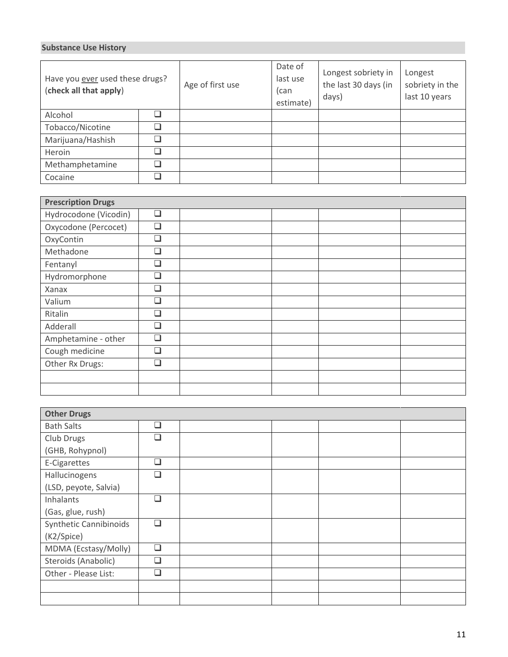### **Substance Use History**

| Have you ever used these drugs?<br>(check all that apply) | Age of first use | Date of<br>last use<br>(can<br>estimate) | Longest sobriety in<br>the last 30 days (in<br>days) | Longest<br>sobriety in the<br>last 10 years |  |
|-----------------------------------------------------------|------------------|------------------------------------------|------------------------------------------------------|---------------------------------------------|--|
| Alcohol                                                   |                  |                                          |                                                      |                                             |  |
| Tobacco/Nicotine                                          |                  |                                          |                                                      |                                             |  |
| Marijuana/Hashish                                         |                  |                                          |                                                      |                                             |  |
| Heroin                                                    |                  |                                          |                                                      |                                             |  |
| Methamphetamine                                           |                  |                                          |                                                      |                                             |  |
| Cocaine                                                   |                  |                                          |                                                      |                                             |  |

| <b>Prescription Drugs</b> |        |  |  |  |  |  |  |  |
|---------------------------|--------|--|--|--|--|--|--|--|
| Hydrocodone (Vicodin)     | $\Box$ |  |  |  |  |  |  |  |
| Oxycodone (Percocet)      | $\Box$ |  |  |  |  |  |  |  |
| OxyContin                 | $\Box$ |  |  |  |  |  |  |  |
| Methadone                 | □      |  |  |  |  |  |  |  |
| Fentanyl                  | П      |  |  |  |  |  |  |  |
| Hydromorphone             | $\Box$ |  |  |  |  |  |  |  |
| Xanax                     | $\Box$ |  |  |  |  |  |  |  |
| Valium                    | П      |  |  |  |  |  |  |  |
| Ritalin                   | □      |  |  |  |  |  |  |  |
| Adderall                  | П      |  |  |  |  |  |  |  |
| Amphetamine - other       | □      |  |  |  |  |  |  |  |
| Cough medicine            | $\Box$ |  |  |  |  |  |  |  |
| Other Rx Drugs:           | П      |  |  |  |  |  |  |  |
|                           |        |  |  |  |  |  |  |  |
|                           |        |  |  |  |  |  |  |  |

| <b>Other Drugs</b>     |           |  |  |  |  |  |  |  |
|------------------------|-----------|--|--|--|--|--|--|--|
| <b>Bath Salts</b>      | □         |  |  |  |  |  |  |  |
| Club Drugs             | П         |  |  |  |  |  |  |  |
| (GHB, Rohypnol)        |           |  |  |  |  |  |  |  |
| E-Cigarettes           | □         |  |  |  |  |  |  |  |
| Hallucinogens          | П         |  |  |  |  |  |  |  |
| (LSD, peyote, Salvia)  |           |  |  |  |  |  |  |  |
| Inhalants              | П         |  |  |  |  |  |  |  |
| (Gas, glue, rush)      |           |  |  |  |  |  |  |  |
| Synthetic Cannibinoids | $\Box$    |  |  |  |  |  |  |  |
| (K2/Spice)             |           |  |  |  |  |  |  |  |
| MDMA (Ecstasy/Molly)   | $\Box$    |  |  |  |  |  |  |  |
| Steroids (Anabolic)    | □         |  |  |  |  |  |  |  |
| Other - Please List:   | $\square$ |  |  |  |  |  |  |  |
|                        |           |  |  |  |  |  |  |  |
|                        |           |  |  |  |  |  |  |  |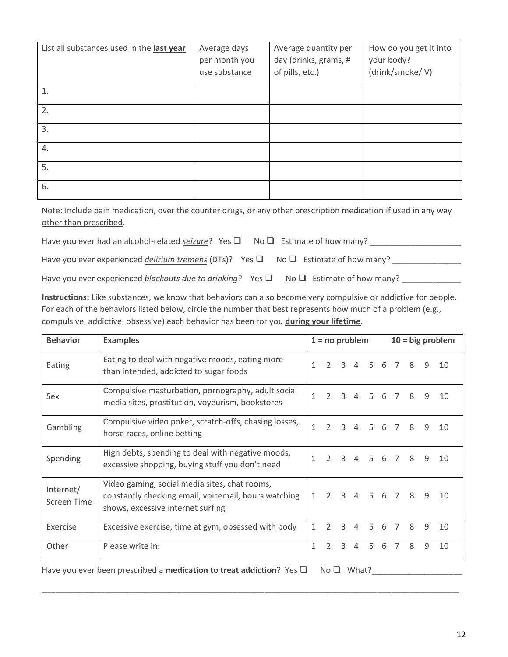| List all substances used in the last year | Average days<br>per month you<br>use substance | Average quantity per<br>day (drinks, grams, #<br>of pills, etc.) | How do you get it into<br>your body?<br>(drink/smoke/IV) |
|-------------------------------------------|------------------------------------------------|------------------------------------------------------------------|----------------------------------------------------------|
| 1.                                        |                                                |                                                                  |                                                          |
| 2.                                        |                                                |                                                                  |                                                          |
| 3.                                        |                                                |                                                                  |                                                          |
| 4.                                        |                                                |                                                                  |                                                          |
| 5.                                        |                                                |                                                                  |                                                          |
| 6.                                        |                                                |                                                                  |                                                          |

Note: Include pain medication, over the counter drugs, or any other prescription medication if used in any way other than prescribed.

| Have you ever had an alcohol-related seizure? Yes $\Box$ No $\Box$ Estimate of how many?            |  |
|-----------------------------------------------------------------------------------------------------|--|
| Have you ever experienced <i>delirium tremens</i> (DTs)? Yes $\Box$ No $\Box$ Estimate of how many? |  |

Have you ever experienced *blackouts due to drinking*? Yes ■ No ■ Estimate of how many?

**Instructions:** Like substances, we know that behaviors can also become very compulsive or addictive for people. For each of the behaviors listed below, circle the number that best represents how much of a problem (e.g., compulsive, addictive, obsessive) each behavior has been for you **during your lifetime**.

| <b>Behavior</b>          | <b>Examples</b>                                                                                                                            |              | $1 = no problem$ |               |   |                |   | $10 = big$ problem |              |   |    |  |
|--------------------------|--------------------------------------------------------------------------------------------------------------------------------------------|--------------|------------------|---------------|---|----------------|---|--------------------|--------------|---|----|--|
| Eating                   | Eating to deal with negative moods, eating more<br>than intended, addicted to sugar foods                                                  | 1            | $\mathcal{P}$    | 3             | 4 | 5 <sup>1</sup> | 6 | $\overline{7}$     | 8            | 9 | 10 |  |
| Sex                      | Compulsive masturbation, pornography, adult social<br>media sites, prostitution, voyeurism, bookstores                                     | 1            | $\mathcal{L}$    | $\mathbf{R}$  | 4 | .5             | 6 | $\overline{7}$     | 8            | 9 | 10 |  |
| Gambling                 | Compulsive video poker, scratch-offs, chasing losses,<br>horse races, online betting                                                       | 1            | $\mathcal{L}$    | $\mathbf{R}$  | 4 | 5 <sup>1</sup> | 6 | $\overline{7}$     | 8            | 9 | 10 |  |
| Spending                 | High debts, spending to deal with negative moods,<br>excessive shopping, buying stuff you don't need                                       | $\mathbf{1}$ | $\mathcal{P}$    | $\mathbf{R}$  | 4 | 5 <sup>1</sup> | 6 | $\overline{7}$     | 8            | 9 | 10 |  |
| Internet/<br>Screen Time | Video gaming, social media sites, chat rooms,<br>constantly checking email, voicemail, hours watching<br>shows, excessive internet surfing |              | $\mathcal{P}$    | $\mathcal{R}$ |   |                |   | 4 5 6 7 8          |              | 9 | 10 |  |
| Exercise                 | Excessive exercise, time at gym, obsessed with body                                                                                        | 1            | $\mathcal{P}$    | 3             | 4 | 5              | 6 | $\overline{7}$     | $\mathsf{R}$ | 9 | 10 |  |
| Other                    | Please write in:                                                                                                                           | 1            | $\mathcal{P}$    | 3             | 4 | .5             | 6 | $\overline{7}$     | 8            | 9 | 10 |  |

\_\_\_\_\_\_\_\_\_\_\_\_\_\_\_\_\_\_\_\_\_\_\_\_\_\_\_\_\_\_\_\_\_\_\_\_\_\_\_\_\_\_\_\_\_\_\_\_\_\_\_\_\_\_\_\_\_\_\_\_\_\_\_\_\_\_\_\_\_\_\_\_\_\_\_\_\_\_\_\_\_\_\_\_\_\_\_\_\_\_\_\_

Have you ever been prescribed a **medication to treat addiction**? Yes ❑ No ❑ What?\_\_\_\_\_\_\_\_\_\_\_\_\_\_\_\_\_\_\_\_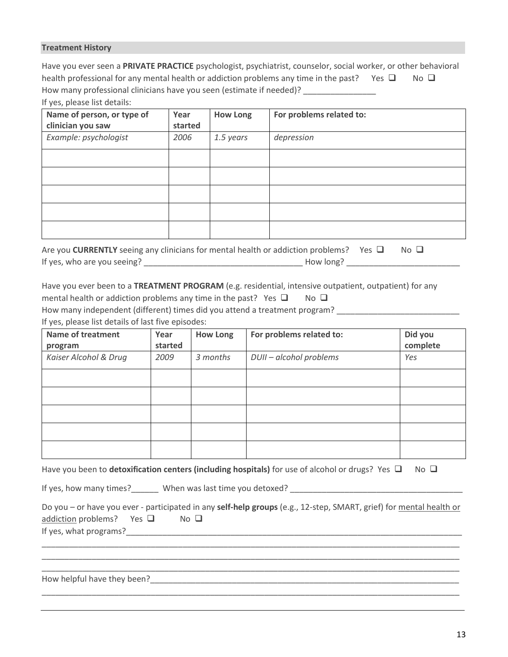#### **Treatment History**

Have you ever seen a **PRIVATE PRACTICE** psychologist, psychiatrist, counselor, social worker, or other behavioral health professional for any mental health or addiction problems any time in the past? Yes  $\Box$  No  $\Box$ How many professional clinicians have you seen (estimate if needed)?

| Name of person, or type of<br>clinician you saw | Year<br>started | <b>How Long</b> | For problems related to: |
|-------------------------------------------------|-----------------|-----------------|--------------------------|
| Example: psychologist                           | 2006            | 1.5 years       | depression               |
|                                                 |                 |                 |                          |
|                                                 |                 |                 |                          |
|                                                 |                 |                 |                          |
|                                                 |                 |                 |                          |
|                                                 |                 |                 |                          |

| Are you CURRENTLY seeing any clinicians for mental health or addiction problems? Yes $\Box$ |           | $No$ $\Box$ |  |
|---------------------------------------------------------------------------------------------|-----------|-------------|--|
| If yes, who are you seeing?                                                                 | How long? |             |  |

Have you ever been to a **TREATMENT PROGRAM** (e.g. residential, intensive outpatient, outpatient) for any

mental health or addiction problems any time in the past? Yes  $\square$  No  $\square$ 

How many independent (different) times did you attend a treatment program? \_\_\_\_\_\_\_\_\_\_\_\_\_\_\_\_\_\_\_\_\_\_\_\_\_

If yes, please list details of last five episodes:

| <b>Name of treatment</b><br>program | Year<br>started | How Long | For problems related to: | Did you<br>complete |
|-------------------------------------|-----------------|----------|--------------------------|---------------------|
| Kaiser Alcohol & Drug               | 2009            | 3 months | DUII - alcohol problems  | Yes                 |
|                                     |                 |          |                          |                     |
|                                     |                 |          |                          |                     |
|                                     |                 |          |                          |                     |
|                                     |                 |          |                          |                     |
|                                     |                 |          |                          |                     |

Have you been to **detoxification centers (including hospitals)** for use of alcohol or drugs? Yes □ No □

If yes, how many times?\_\_\_\_\_\_ When was last time you detoxed? \_\_\_\_\_\_\_\_\_\_\_\_\_\_\_\_\_\_\_\_\_\_\_\_\_\_\_\_\_\_\_\_\_\_\_\_\_\_

|                                |             | Do you – or have you ever - participated in any self-help groups (e.g., 12-step, SMART, grief) for mental health or |
|--------------------------------|-------------|---------------------------------------------------------------------------------------------------------------------|
| addiction problems? Yes $\Box$ | $No$ $\Box$ |                                                                                                                     |
| If yes, what programs?         |             |                                                                                                                     |

\_\_\_\_\_\_\_\_\_\_\_\_\_\_\_\_\_\_\_\_\_\_\_\_\_\_\_\_\_\_\_\_\_\_\_\_\_\_\_\_\_\_\_\_\_\_\_\_\_\_\_\_\_\_\_\_\_\_\_\_\_\_\_\_\_\_\_\_\_\_\_\_\_\_\_\_\_\_\_\_\_\_\_\_\_\_\_\_\_\_\_\_ \_\_\_\_\_\_\_\_\_\_\_\_\_\_\_\_\_\_\_\_\_\_\_\_\_\_\_\_\_\_\_\_\_\_\_\_\_\_\_\_\_\_\_\_\_\_\_\_\_\_\_\_\_\_\_\_\_\_\_\_\_\_\_\_\_\_\_\_\_\_\_\_\_\_\_\_\_\_\_\_\_\_\_\_\_\_\_\_\_\_\_\_ \_\_\_\_\_\_\_\_\_\_\_\_\_\_\_\_\_\_\_\_\_\_\_\_\_\_\_\_\_\_\_\_\_\_\_\_\_\_\_\_\_\_\_\_\_\_\_\_\_\_\_\_\_\_\_\_\_\_\_\_\_\_\_\_\_\_\_\_\_\_\_\_\_\_\_\_\_\_\_\_\_\_\_\_\_\_\_\_\_\_\_\_

\_\_\_\_\_\_\_\_\_\_\_\_\_\_\_\_\_\_\_\_\_\_\_\_\_\_\_\_\_\_\_\_\_\_\_\_\_\_\_\_\_\_\_\_\_\_\_\_\_\_\_\_\_\_\_\_\_\_\_\_\_\_\_\_\_\_\_\_\_\_\_\_\_\_\_\_\_\_\_\_\_\_\_\_\_\_\_\_\_\_\_\_

How helpful have they been?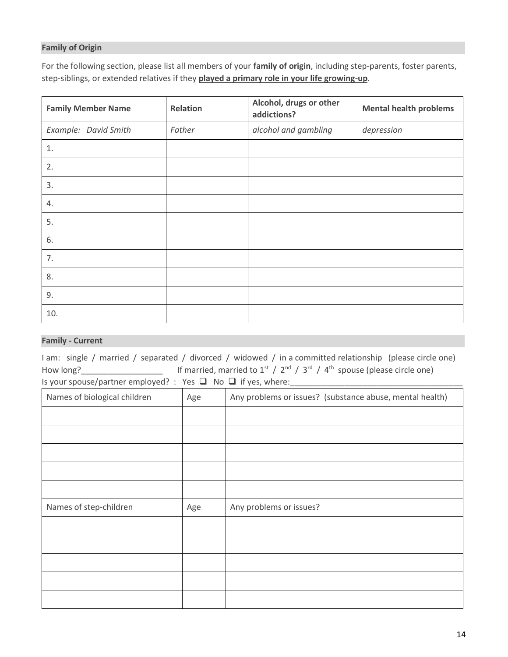#### **Family of Origin**

For the following section, please list all members of your **family of origin**, including step-parents, foster parents, step-siblings, or extended relatives if they **played a primary role in your life growing-up**.

| <b>Family Member Name</b> | Relation | Alcohol, drugs or other<br>addictions? | <b>Mental health problems</b> |  |  |
|---------------------------|----------|----------------------------------------|-------------------------------|--|--|
| Example: David Smith      | Father   | alcohol and gambling                   | depression                    |  |  |
| 1.                        |          |                                        |                               |  |  |
| 2.                        |          |                                        |                               |  |  |
| 3.                        |          |                                        |                               |  |  |
| 4.                        |          |                                        |                               |  |  |
| 5.                        |          |                                        |                               |  |  |
| 6.                        |          |                                        |                               |  |  |
| 7.                        |          |                                        |                               |  |  |
| 8.                        |          |                                        |                               |  |  |
| 9.                        |          |                                        |                               |  |  |
| 10.                       |          |                                        |                               |  |  |

### **Family - Current**

I am: single / married / separated / divorced / widowed / in a committed relationship (please circle one) How long?
<u>\_\_\_\_\_\_\_\_\_\_\_\_\_\_\_\_\_\_\_\_\_\_</u> If married, married to  $1^{st}$  /  $2^{nd}$  /  $3^{rd}$  /  $4^{th}$  spouse (please circle one) Is your spouse/partner employed? : Yes □ No □ if yes, where: \_\_\_\_\_\_\_\_\_\_\_\_\_\_\_\_\_\_\_

| Names of biological children | Age | Any problems or issues? (substance abuse, mental health) |  |  |
|------------------------------|-----|----------------------------------------------------------|--|--|
|                              |     |                                                          |  |  |
|                              |     |                                                          |  |  |
|                              |     |                                                          |  |  |
|                              |     |                                                          |  |  |
|                              |     |                                                          |  |  |
| Names of step-children       | Age | Any problems or issues?                                  |  |  |
|                              |     |                                                          |  |  |
|                              |     |                                                          |  |  |
|                              |     |                                                          |  |  |
|                              |     |                                                          |  |  |
|                              |     |                                                          |  |  |